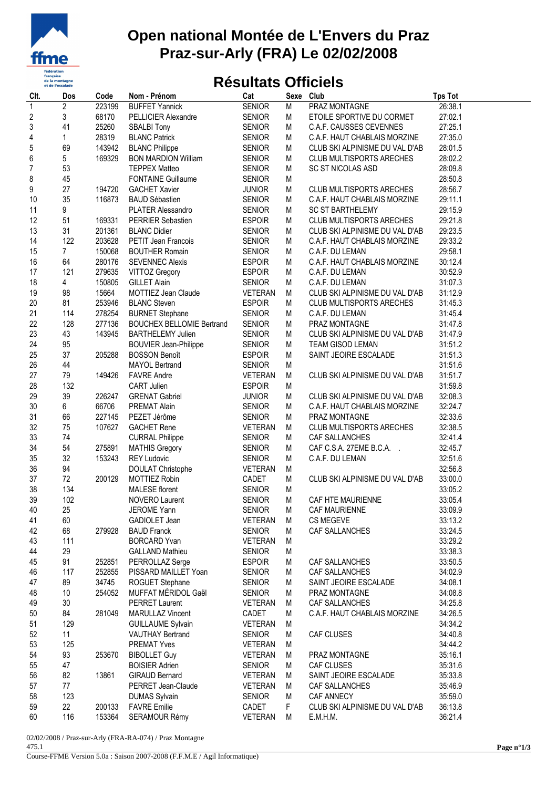

## **Open national Montée de L'Envers du Praz Praz-sur-Arly (FRA) Le 02/02/2008**

## **Résultats Officiels**

| Clt.             | Dos            | Code   | Nom - Prénom                     | Cat            | Sexe Club      |                                 | <b>Tps Tot</b> |
|------------------|----------------|--------|----------------------------------|----------------|----------------|---------------------------------|----------------|
| 1                | $\overline{2}$ | 223199 | <b>BUFFET Yannick</b>            | <b>SENIOR</b>  | $\overline{M}$ | PRAZ MONTAGNE                   | 26:38.1        |
| $\boldsymbol{2}$ | 3              | 68170  | PELLICIER Alexandre              | <b>SENIOR</b>  | M              | ETOILE SPORTIVE DU CORMET       | 27:02.1        |
| 3                | 41             | 25260  | <b>SBALBI Tony</b>               | <b>SENIOR</b>  | M              | C.A.F. CAUSSES CEVENNES         | 27:25.1        |
| 4                | 1              | 28319  | <b>BLANC Patrick</b>             | <b>SENIOR</b>  | M              | C.A.F. HAUT CHABLAIS MORZINE    | 27:35.0        |
| 5                | 69             | 143942 | <b>BLANC Philippe</b>            | <b>SENIOR</b>  | M              | CLUB SKI ALPINISME DU VAL D'AB  | 28:01.5        |
| 6                | 5              | 169329 | <b>BON MARDION William</b>       | <b>SENIOR</b>  | M              | <b>CLUB MULTISPORTS ARECHES</b> | 28:02.2        |
| $\overline{7}$   | 53             |        | <b>TEPPEX Matteo</b>             | <b>SENIOR</b>  | M              | SC ST NICOLAS ASD               | 28:09.8        |
| 8                | 45             |        | <b>FONTAINE Guillaume</b>        | <b>SENIOR</b>  | M              |                                 | 28:50.8        |
| 9                | 27             | 194720 | <b>GACHET Xavier</b>             | <b>JUNIOR</b>  | M              | <b>CLUB MULTISPORTS ARECHES</b> | 28:56.7        |
| 10               | 35             | 116873 | <b>BAUD Sébastien</b>            | <b>SENIOR</b>  | M              | C.A.F. HAUT CHABLAIS MORZINE    | 29:11.1        |
| 11               | 9              |        | <b>PLATER Alessandro</b>         | <b>SENIOR</b>  | M              | <b>SC ST BARTHELEMY</b>         | 29:15.9        |
| 12               | 51             | 169331 | <b>PERRIER Sebastien</b>         | <b>ESPOIR</b>  | M              | <b>CLUB MULTISPORTS ARECHES</b> | 29:21.8        |
| 13               | 31             | 201361 | <b>BLANC Didier</b>              | <b>SENIOR</b>  | M              | CLUB SKI ALPINISME DU VAL D'AB  | 29:23.5        |
| 14               | 122            | 203628 | PETIT Jean Francois              | <b>SENIOR</b>  | M              | C.A.F. HAUT CHABLAIS MORZINE    | 29:33.2        |
| 15               | $\overline{7}$ | 150068 | <b>BOUTHER Romain</b>            | <b>SENIOR</b>  | M              | C.A.F. DU LEMAN                 | 29:58.1        |
| 16               | 64             | 280176 | <b>SEVENNEC Alexis</b>           | <b>ESPOIR</b>  | M              | C.A.F. HAUT CHABLAIS MORZINE    | 30:12.4        |
| 17               | 121            | 279635 | <b>VITTOZ Gregory</b>            | <b>ESPOIR</b>  | M              | C.A.F. DU LEMAN                 | 30:52.9        |
| 18               | 4              | 150805 | <b>GILLET Alain</b>              | <b>SENIOR</b>  | M              | C.A.F. DU LEMAN                 | 31:07.3        |
| 19               | 98             | 15664  | MOTTIEZ Jean Claude              | VETERAN        | M              | CLUB SKI ALPINISME DU VAL D'AB  | 31:12.9        |
| 20               | 81             | 253946 | <b>BLANC Steven</b>              | <b>ESPOIR</b>  | M              | <b>CLUB MULTISPORTS ARECHES</b> | 31:45.3        |
| 21               | 114            | 278254 | <b>BURNET Stephane</b>           | <b>SENIOR</b>  | M              | C.A.F. DU LEMAN                 | 31:45.4        |
| 22               | 128            | 277136 | <b>BOUCHEX BELLOMIE Bertrand</b> | <b>SENIOR</b>  | M              | PRAZ MONTAGNE                   | 31:47.8        |
| 23               | 43             | 143945 | <b>BARTHELEMY Julien</b>         | <b>SENIOR</b>  | M              | CLUB SKI ALPINISME DU VAL D'AB  | 31:47.9        |
| 24               | 95             |        | <b>BOUVIER Jean-Philippe</b>     | <b>SENIOR</b>  | M              | <b>TEAM GISOD LEMAN</b>         | 31:51.2        |
| 25               | 37             | 205288 | <b>BOSSON Benoît</b>             | <b>ESPOIR</b>  | M              | SAINT JEOIRE ESCALADE           | 31:51.3        |
| 26               | 44             |        | <b>MAYOL Bertrand</b>            | <b>SENIOR</b>  | M              |                                 | 31:51.6        |
| 27               | 79             | 149426 | <b>FAVRE Andre</b>               | <b>VETERAN</b> | M              | CLUB SKI ALPINISME DU VAL D'AB  | 31:51.7        |
| 28               | 132            |        | CART Julien                      | <b>ESPOIR</b>  | M              |                                 | 31:59.8        |
| 29               | 39             | 226247 | <b>GRENAT Gabriel</b>            | <b>JUNIOR</b>  | M              | CLUB SKI ALPINISME DU VAL D'AB  | 32:08.3        |
| 30               | 6              | 66706  | PREMAT Alain                     | <b>SENIOR</b>  | M              | C.A.F. HAUT CHABLAIS MORZINE    | 32:24.7        |
| 31               | 66             | 227145 | PEZET Jérôme                     | <b>SENIOR</b>  | M              | PRAZ MONTAGNE                   | 32:33.6        |
| 32               | 75             | 107627 | <b>GACHET Rene</b>               | <b>VETERAN</b> | M              | <b>CLUB MULTISPORTS ARECHES</b> | 32:38.5        |
| 33               | 74             |        | <b>CURRAL Philippe</b>           | <b>SENIOR</b>  | M              | CAF SALLANCHES                  | 32:41.4        |
| 34               | 54             | 275891 | <b>MATHIS Gregory</b>            | <b>SENIOR</b>  | M              | CAF C.S.A. 27EME B.C.A.         | 32:45.7        |
| 35               | 32             | 153243 | <b>REY Ludovic</b>               | <b>SENIOR</b>  | M              | C.A.F. DU LEMAN                 | 32:51.6        |
| 36               | 94             |        | DOULAT Christophe                | VETERAN        | M              |                                 | 32:56.8        |
| 37               | 72             | 200129 | <b>MOTTIEZ Robin</b>             | CADET          | M              | CLUB SKI ALPINISME DU VAL D'AB  | 33:00.0        |
| 38               | 134            |        | <b>MALESE</b> florent            | <b>SENIOR</b>  | M              |                                 | 33:05.2        |
| 39               | 102            |        | NOVERO Laurent                   | <b>SENIOR</b>  | M              | CAF HTE MAURIENNE               | 33:05.4        |
| 40               | 25             |        | JEROME Yann                      | SENIOR         | M              | CAF MAURIENNE                   | 33:09.9        |
| 41               | 60             |        | GADIOLET Jean                    | <b>VETERAN</b> | M              | CS MEGEVE                       | 33:13.2        |
| 42               | 68             | 279928 | <b>BAUD Franck</b>               | <b>SENIOR</b>  | M              | CAF SALLANCHES                  | 33:24.5        |
| 43               | 111            |        | <b>BORCARD Yvan</b>              | <b>VETERAN</b> | M              |                                 | 33:29.2        |
| 44               | 29             |        | <b>GALLAND Mathieu</b>           | <b>SENIOR</b>  | M              |                                 | 33:38.3        |
| 45               | 91             | 252851 | PERROLLAZ Serge                  | <b>ESPOIR</b>  | M              | CAF SALLANCHES                  | 33:50.5        |
| 46               | 117            | 252855 | PISSARD MAILLET Yoan             | <b>SENIOR</b>  | M              | CAF SALLANCHES                  | 34:02.9        |
| 47               | 89             | 34745  | ROGUET Stephane                  | <b>SENIOR</b>  | M              | SAINT JEOIRE ESCALADE           | 34:08.1        |
| 48               | 10             | 254052 | MUFFAT MÉRIDOL Gaël              | <b>SENIOR</b>  | M              | PRAZ MONTAGNE                   | 34:08.8        |
| 49               | 30             |        | <b>PERRET Laurent</b>            | <b>VETERAN</b> | M              | CAF SALLANCHES                  | 34:25.8        |
| 50               | 84             | 281049 | <b>MARULLAZ Vincent</b>          | CADET          | M              | C.A.F. HAUT CHABLAIS MORZINE    | 34:26.5        |
| 51               | 129            |        | <b>GUILLAUME Sylvain</b>         | VETERAN        | M              |                                 | 34:34.2        |
| 52               | 11             |        | <b>VAUTHAY Bertrand</b>          | <b>SENIOR</b>  | M              | CAF CLUSES                      | 34:40.8        |
| 53               | 125            |        | PREMAT Yves                      | <b>VETERAN</b> | M              |                                 | 34:44.2        |
| 54               | 93             | 253670 | <b>BIBOLLET Guy</b>              | VETERAN        | M              | PRAZ MONTAGNE                   | 35:16.1        |
| 55               | 47             |        | <b>BOISIER Adrien</b>            | <b>SENIOR</b>  | M              | <b>CAF CLUSES</b>               | 35:31.6        |
| 56               | 82             | 13861  | <b>GIRAUD Bernard</b>            | <b>VETERAN</b> | M              | SAINT JEOIRE ESCALADE           | 35:33.8        |
| 57               | 77             |        | PERRET Jean-Claude               | <b>VETERAN</b> | M              | CAF SALLANCHES                  | 35:46.9        |
| 58               | 123            |        | <b>DUMAS Sylvain</b>             | <b>SENIOR</b>  | M              | <b>CAF ANNECY</b>               | 35:59.0        |
| 59               | 22             | 200133 | <b>FAVRE Emilie</b>              | CADET          | F              | CLUB SKI ALPINISME DU VAL D'AB  | 36:13.8        |
| 60               | 116            | 153364 | SERAMOUR Rémy                    | <b>VETERAN</b> | M              | E.M.H.M.                        | 36:21.4        |

02/02/2008 / Praz-sur-Arly (FRA-RA-074) / Praz Montagne 475.1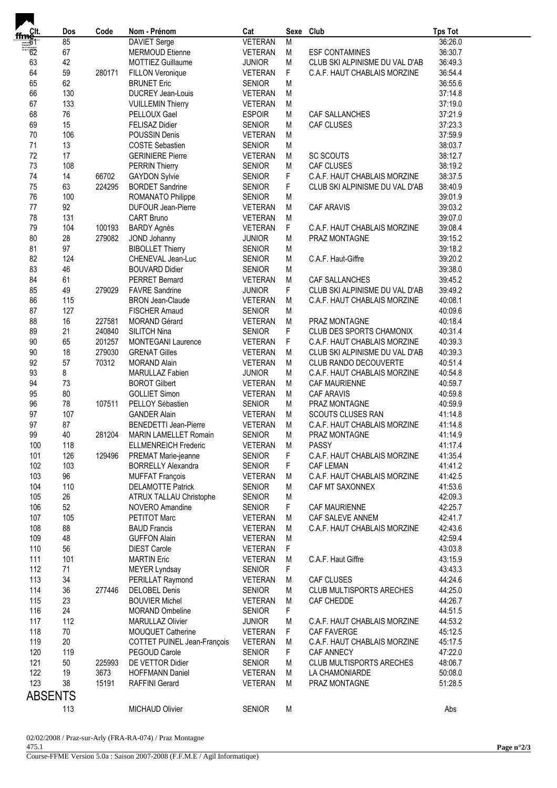| fmelt                     | Dos        | Code   | Nom - Prénom                                    | Cat                              |        | Sexe Club                          | <b>Tps Tot</b>     |
|---------------------------|------------|--------|-------------------------------------------------|----------------------------------|--------|------------------------------------|--------------------|
| $\overline{\mathbf{5}}$ 1 | 85         |        | DAVIET Serge                                    | <b>VETERAN</b>                   | M      |                                    | 36:26.0            |
| $\overline{62}$           | 67         |        | <b>MERMOUD Etienne</b>                          | <b>VETERAN</b>                   | M      | <b>ESF CONTAMINES</b>              | 36:30.7            |
| 63                        | 42         |        | MOTTIEZ Guillaume                               | <b>JUNIOR</b>                    | M      | CLUB SKI ALPINISME DU VAL D'AB     | 36:49.3            |
| 64                        | 59         | 280171 | <b>FILLON Veronique</b>                         | <b>VETERAN</b>                   | F      | C.A.F. HAUT CHABLAIS MORZINE       | 36:54.4            |
| 65                        | 62         |        | <b>BRUNET Eric</b>                              | <b>SENIOR</b>                    | М      |                                    | 36:55.6            |
| 66<br>67                  | 130<br>133 |        | DUCREY Jean-Louis                               | <b>VETERAN</b>                   | M<br>M |                                    | 37:14.8            |
| 68                        | 76         |        | <b>VUILLEMIN Thierry</b><br>PELLOUX Gael        | <b>VETERAN</b><br><b>ESPOIR</b>  | M      | CAF SALLANCHES                     | 37:19.0<br>37:21.9 |
| 69                        | 15         |        | <b>FELISAZ Didier</b>                           | <b>SENIOR</b>                    | M      | CAF CLUSES                         | 37:23.3            |
| 70                        | 106        |        | POUSSIN Denis                                   | <b>VETERAN</b>                   | M      |                                    | 37:59.9            |
| 71                        | 13         |        | <b>COSTE Sebastien</b>                          | <b>SENIOR</b>                    | M      |                                    | 38:03.7            |
| 72                        | 17         |        | <b>GERINIERE Pierre</b>                         | <b>VETERAN</b>                   | М      | SC SCOUTS                          | 38:12.7            |
| 73                        | 108        |        | <b>PERRIN Thierry</b>                           | <b>SENIOR</b>                    | M      | CAF CLUSES                         | 38:19.2            |
| 74                        | 14         | 66702  | <b>GAYDON Sylvie</b>                            | <b>SENIOR</b>                    | F      | C.A.F. HAUT CHABLAIS MORZINE       | 38:37.5            |
| 75                        | 63         | 224295 | <b>BORDET Sandrine</b>                          | <b>SENIOR</b>                    | F      | CLUB SKI ALPINISME DU VAL D'AB     | 38:40.9            |
| 76                        | 100        |        | ROMANATO Philippe                               | <b>SENIOR</b>                    | M      |                                    | 39:01.9            |
| 77                        | 92         |        | DUFOUR Jean-Pierre                              | <b>VETERAN</b>                   | M      | CAF ARAVIS                         | 39:03.2            |
| 78                        | 131        |        | <b>CART Bruno</b>                               | <b>VETERAN</b>                   | М      |                                    | 39:07.0            |
| 79                        | 104        | 100193 | <b>BARDY Agnès</b>                              | VETERAN                          | F      | C.A.F. HAUT CHABLAIS MORZINE       | 39:08.4            |
| 80                        | 28         | 279082 | JOND Johanny                                    | <b>JUNIOR</b>                    | M      | PRAZ MONTAGNE                      | 39:15.2            |
| 81                        | 97         |        | <b>BIBOLLET Thierry</b>                         | <b>SENIOR</b>                    | M      |                                    | 39:18.2            |
| 82                        | 124        |        | CHENEVAL Jean-Luc                               | <b>SENIOR</b>                    | M      | C.A.F. Haut-Giffre                 | 39:20.2            |
| 83                        | 46         |        | <b>BOUVARD Didier</b>                           | <b>SENIOR</b>                    | M      |                                    | 39:38.0            |
| 84                        | 61         |        | <b>PERRET Bernard</b>                           | <b>VETERAN</b>                   | M      | CAF SALLANCHES                     | 39:45.2            |
| 85                        | 49         | 279029 | <b>FAVRE Sandrine</b>                           | <b>JUNIOR</b>                    | F.     | CLUB SKI ALPINISME DU VAL D'AB     | 39:49.2            |
| 86                        | 115        |        | <b>BRON Jean-Claude</b>                         | <b>VETERAN</b>                   | M      | C.A.F. HAUT CHABLAIS MORZINE       | 40:08.1            |
| 87                        | 127        |        | <b>FISCHER Arnaud</b>                           | <b>SENIOR</b>                    | M      |                                    | 40:09.6            |
| 88                        | 16         | 227581 | MORAND Gérard                                   | VETERAN                          | M      | PRAZ MONTAGNE                      | 40:18.4            |
| 89                        | 21         | 240840 | <b>SILITCH Nina</b>                             | <b>SENIOR</b>                    | F      | <b>CLUB DES SPORTS CHAMONIX</b>    | 40:31.4            |
| 90                        | 65         | 201257 | MONTEGANI Laurence                              | VETERAN                          | F      | C.A.F. HAUT CHABLAIS MORZINE       | 40:39.3            |
| 90                        | 18         | 279030 | <b>GRENAT Gilles</b>                            | <b>VETERAN</b>                   | M      | CLUB SKI ALPINISME DU VAL D'AB     | 40:39.3            |
| 92                        | 57         | 70312  | <b>MORAND Alain</b>                             | <b>VETERAN</b>                   | M      | CLUB RANDO DECOUVERTE              | 40:51.4            |
| 93                        | 8          |        | MARULLAZ Fabien                                 | <b>JUNIOR</b>                    | M      | C.A.F. HAUT CHABLAIS MORZINE       | 40:54.8            |
| 94<br>95                  | 73<br>80   |        | <b>BOROT Gilbert</b><br><b>GOLLIET Simon</b>    | <b>VETERAN</b><br><b>VETERAN</b> | М<br>M | <b>CAF MAURIENNE</b><br>CAF ARAVIS | 40:59.7<br>40:59.8 |
| 96                        | 78         | 107511 | PELLOY Sébastien                                | <b>SENIOR</b>                    | M      | PRAZ MONTAGNE                      | 40:59.9            |
| 97                        | 107        |        | <b>GANDER Alain</b>                             | <b>VETERAN</b>                   | м      | <b>SCOUTS CLUSES RAN</b>           | 41:14.8            |
| 97                        | 87         |        | <b>BENEDETTI Jean-Pierre</b>                    | <b>VETERAN</b>                   | М      | C.A.F. HAUT CHABLAIS MORZINE       | 41:14.8            |
| 99                        | 40         | 281204 | <b>MARIN LAMELLET Romain</b>                    | <b>SENIOR</b>                    | M      | PRAZ MONTAGNE                      | 41:14.9            |
| 100                       | 118        |        | <b>ELLMENREICH Frederic</b>                     | VETERAN                          | M      | PASSY                              | 41:17.4            |
| 101                       | 126        | 129496 | PREMAT Marie-jeanne                             | <b>SENIOR</b>                    | F      | C.A.F. HAUT CHABLAIS MORZINE       | 41:35.4            |
| 102                       | 103        |        | <b>BORRELLY Alexandra</b>                       | <b>SENIOR</b>                    | F      | <b>CAF LEMAN</b>                   | 41:41.2            |
| 103                       | 96         |        | <b>MUFFAT François</b>                          | <b>VETERAN</b>                   | M      | C.A.F. HAUT CHABLAIS MORZINE       | 41:42.5            |
| 104                       | 110        |        | <b>DELAMOTTE Patrick</b>                        | <b>SENIOR</b>                    | M      | CAF MT SAXONNEX                    | 41:53.6            |
| 105                       | 26         |        | ATRUX TALLAU Christophe                         | <b>SENIOR</b>                    | M      |                                    | 42:09.3            |
| 106                       | 52         |        | NOVERO Amandine                                 | <b>SENIOR</b>                    | F      | <b>CAF MAURIENNE</b>               | 42:25.7            |
| 107                       | 105        |        | PETITOT Marc                                    | <b>VETERAN</b>                   | M      | CAF SALEVE ANNEM                   | 42:41.7            |
| 108                       | 88         |        | <b>BAUD Francis</b>                             | <b>VETERAN</b>                   | M      | C.A.F. HAUT CHABLAIS MORZINE       | 42:43.6            |
| 109                       | 48         |        | <b>GUFFON Alain</b>                             | <b>VETERAN</b>                   | М      |                                    | 42:59.4            |
| 110                       | 56         |        | <b>DIEST Carole</b>                             | <b>VETERAN</b>                   | F      |                                    | 43:03.8            |
| 111                       | 101        |        | <b>MARTIN Eric</b>                              | <b>VETERAN</b>                   | M      | C.A.F. Haut Giffre                 | 43:15.9            |
| 112                       | 71         |        | <b>MEYER Lyndsay</b>                            | <b>SENIOR</b>                    | F      |                                    | 43:43.3            |
| 113                       | 34         |        | PERILLAT Raymond                                | <b>VETERAN</b>                   | M      | CAF CLUSES                         | 44:24.6            |
| 114<br>115                | 36<br>23   | 277446 | <b>DELOBEL Denis</b>                            | <b>SENIOR</b>                    | M<br>M | <b>CLUB MULTISPORTS ARECHES</b>    | 44:25.0            |
| 116                       | 24         |        | <b>BOUVIER Michel</b><br><b>MORAND Ombeline</b> | <b>VETERAN</b><br><b>SENIOR</b>  | F      | CAF CHEDDE                         | 44:26.7<br>44:51.5 |
| 117                       | 112        |        | <b>MARULLAZ Olivier</b>                         | <b>JUNIOR</b>                    | М      | C.A.F. HAUT CHABLAIS MORZINE       | 44:53.2            |
| 118                       | 70         |        | MOUQUET Catherine                               | <b>VETERAN</b>                   | F      | CAF FAVERGE                        | 45:12.5            |
| 119                       | 20         |        | <b>COTTET PUINEL Jean-François</b>              | <b>VETERAN</b>                   | M      | C.A.F. HAUT CHABLAIS MORZINE       | 45:17.5            |
| 120                       | 119        |        | PEGOUD Carole                                   | <b>SENIOR</b>                    | F      | <b>CAF ANNECY</b>                  | 47:22.0            |
| 121                       | 50         | 225993 | DE VETTOR Didier                                | <b>SENIOR</b>                    | M      | CLUB MULTISPORTS ARECHES           | 48:06.7            |
| 122                       | 19         | 3673   | <b>HOFFMANN Daniel</b>                          | VETERAN                          | M      | LA CHAMONIARDE                     | 50:08.0            |
| 123                       | 38         | 15191  | RAFFINI Gerard                                  | <b>VETERAN</b>                   | М      | PRAZ MONTAGNE                      | 51:28.5            |
| <b>ABSENTS</b>            |            |        |                                                 |                                  |        |                                    |                    |
|                           |            |        |                                                 |                                  |        |                                    |                    |
|                           | 113        |        | MICHAUD Olivier                                 | <b>SENIOR</b>                    | M      |                                    | Abs                |

02/02/2008 / Praz-sur-Arly (FRA-RA-074) / Praz Montagne 475.1